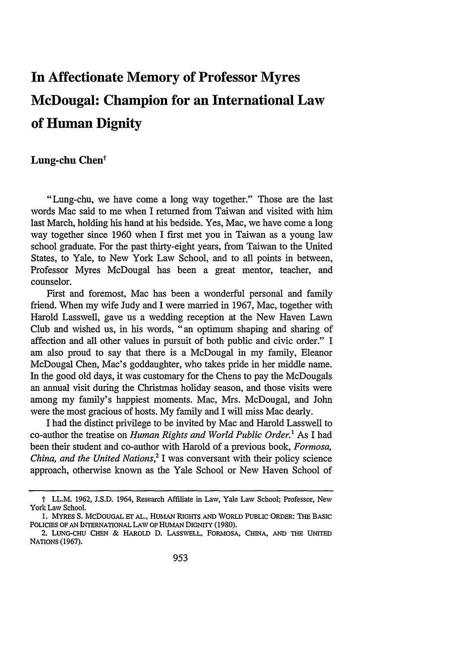## **In Affectionate Memory of Professor Myres McDougal: Champion for an International Law of Human Dignity**

## **Lung-chu Chen'**

"Lung-chu, we have come a long way together." Those are the last words Mac said to me when I returned from Taiwan and visited with him last March, holding his hand at his bedside. Yes, Mac, we have come a long way together since 1960 when I first met you in Taiwan as a young law school graduate. For the past thirty-eight years, from Taiwan to the United States, to Yale, to New York Law School, and to all points in between, Professor Myres McDougal has been a great mentor, teacher, and counselor.

First and foremost, Mac has been a wonderful personal and family friend. When my wife Judy and I were married in 1967, Mac, together with Harold Lasswell, gave us a wedding reception at the New Haven Lawn Club and wished us, in his words, "an optimum shaping and sharing of affection and all other values in pursuit of both public and civic order." I am also proud to say that there is a McDougal in my family, Eleanor McDougal Chen, Mac's goddaughter, who takes pride in her middle name. In the good old days, it was customary for the Chens to pay the McDougals an annual visit during the Christmas holiday season, and those visits were among my family's happiest moments. Mac, Mrs. McDougal, and John were the most gracious of hosts. My family and I will miss Mac dearly.

I had the distinct privilege to be invited by Mac and Harold Lasswell to co-author the treatise on *Human Rights and World Public Order.'* As I had been their student and co-author with Harold of a previous book, *Formosa, China, and the United Nations*<sup>2</sup> I was conversant with their policy science approach, otherwise known as the Yale School or New Haven School of

t LL.M. 1962, J.S.D. 1964, Research Affiliate in Law, Yale Law School; Professor, New York Law School.

**<sup>1.</sup>** MYRES **S.** McDOUGAL Er **AL.,** HUMAN RIGHTS **AND** WORLD PUBLIC ORDER: **THE** BASIC **POLICIES** OF **AN** INTERNATIONAL **LAW** OF **HUMAN** DIGNITY (1980).

<sup>2.</sup> **LUNG-CHU CHEN** & HAROLD D. **LASSWELL,** FORMOSA, **CHINA, AND THE** UNITED **NATIONS** (1967).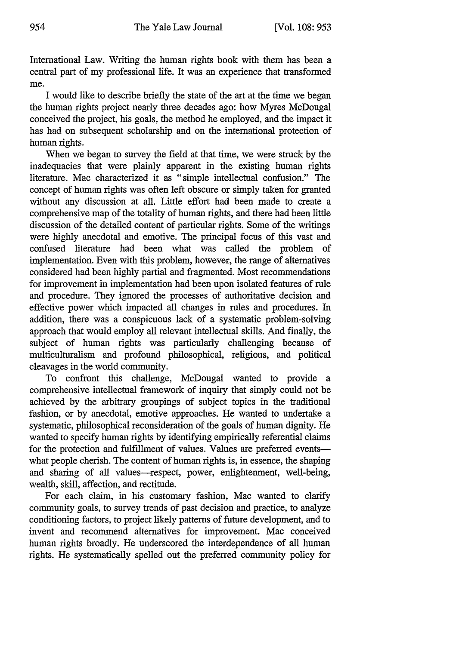International Law. Writing the human rights book with them has been a central part of my professional life. It was an experience that transformed me.

I would like to describe briefly the state of the art at the time we began the human rights project nearly three decades ago: how Myres McDougal conceived the project, his goals, the method he employed, and the impact it has had on subsequent scholarship and on the international protection of human rights.

When we began to survey the field at that time, we were struck by the inadequacies that were plainly apparent in the existing human rights literature. Mac characterized it as "simple intellectual confusion." The concept of human rights was often left obscure or simply taken for granted without any discussion at all. Little effort had been made to create a comprehensive map of the totality of human rights, and there had been little discussion of the detailed content of particular rights. Some of the writings were highly anecdotal and emotive. The principal focus of this vast and confused literature had been what was called the problem of implementation. Even with this problem, however, the range of alternatives considered had been highly partial and fragmented. Most recommendations for improvement in implementation had been upon isolated features of rule and procedure. They ignored the processes of authoritative decision and effective power which impacted all changes in rules and procedures. In addition, there was a conspicuous lack of a systematic problem-solving approach that would employ all relevant intellectual skills. And finally, the subject of human rights was particularly challenging because of multiculturalism and profound philosophical, religious, and political cleavages in the world community.

To confront this challenge, McDougal wanted to provide a comprehensive intellectual framework of inquiry that simply could not be achieved by the arbitrary groupings of subject topics in the traditional fashion, or by anecdotal, emotive approaches. He wanted to undertake a systematic, philosophical reconsideration of the goals of human dignity. He wanted to specify human rights by identifying empirically referential claims for the protection and fulfillment of values. Values are preferred eventswhat people cherish. The content of human rights is, in essence, the shaping and sharing of all values-respect, power, enlightenment, well-being, wealth, skill, affection, and rectitude.

For each claim, in his customary fashion, Mac wanted to clarify community goals, to survey trends of past decision and practice, to analyze conditioning factors, to project likely patterns of future development, and to invent and recommend alternatives for improvement. Mac conceived human rights broadly. He underscored the interdependence of all human rights. He systematically spelled out the preferred community policy for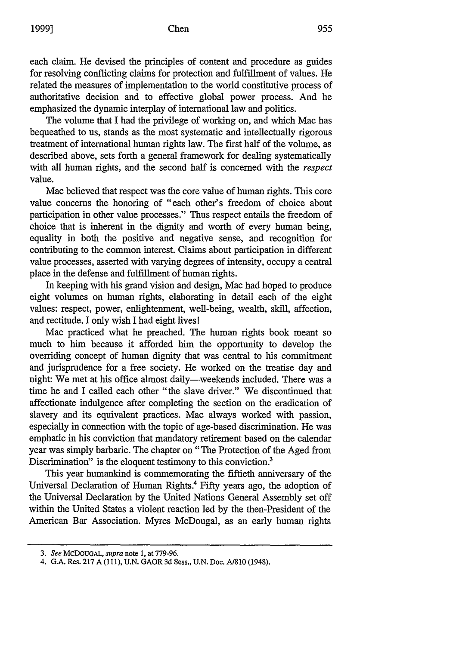each claim. He devised the principles of content and procedure as guides for resolving conflicting claims for protection and fulfillment of values. He related the measures of implementation to the world constitutive process of authoritative decision and to effective global power process. And he emphasized the dynamic interplay of international law and politics.

The volume that I had the privilege of working on, and which Mac has bequeathed to us, stands as the most systematic and intellectually rigorous treatment of international human rights law. The first half of the volume, as described above, sets forth a general framework for dealing systematically with all human rights, and the second half is concerned with the *respect* value.

Mac believed that respect was the core value of human rights. This core value concerns the honoring of "each other's freedom of choice about participation in other value processes." Thus respect entails the freedom of choice that is inherent in the dignity and worth of every human being, equality in both the positive and negative sense, and recognition for contributing to the common interest. Claims about participation in different value processes, asserted with varying degrees of intensity, occupy a central place in the defense and fulfillment of human rights.

In keeping with his grand vision and design, Mac had hoped to produce eight volumes on human rights, elaborating in detail each of the eight values: respect, power, enlightenment, well-being, wealth, skill, affection, and rectitude. I only wish I had eight lives!

Mac practiced what he preached. The human rights book meant so much to him because it afforded him the opportunity to develop the overriding concept of human dignity that was central to his commitment and jurisprudence for a free society. He worked on the treatise day and night: We met at his office almost daily—weekends included. There was a time he and I called each other "the slave driver." We discontinued that affectionate indulgence after completing the section on the eradication of slavery and its equivalent practices. Mac always worked with passion, especially in connection with the topic of age-based discrimination. He was emphatic in his conviction that mandatory retirement based on the calendar year was simply barbaric. The chapter on "The Protection of the Aged from Discrimination" is the eloquent testimony to this conviction.<sup>3</sup>

This year humankind is commemorating the fiftieth anniversary of the Universal Declaration of Human Rights.<sup>4</sup> Fifty years ago, the adoption of the Universal Declaration by the United Nations General Assembly set off within the United States a violent reaction led by the then-President of the American Bar Association. Myres McDougal, as an early human rights

*<sup>3.</sup> See* **MCDOUGAL,** *supra* note **1,** at **779-96.**

<sup>4.</sup> **G.A.** Res. **217 A (111), U.N.** GAOR **3d** Sess., **U.N.** Doc. **A/810** (1948).